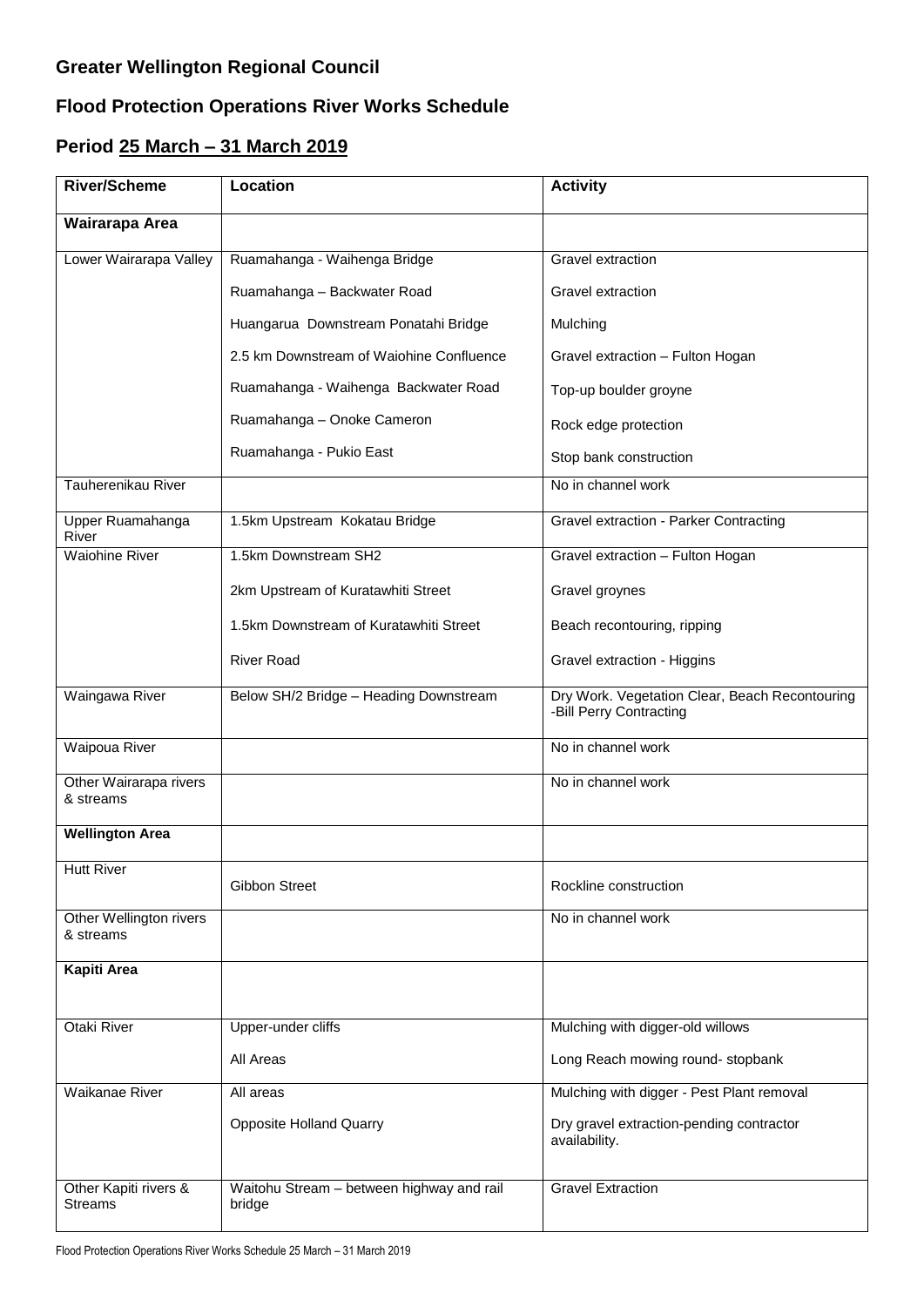## **Greater Wellington Regional Council**

## **Flood Protection Operations River Works Schedule**

## **Period 25 March – 31 March 2019**

| <b>River/Scheme</b>                     | Location                                            | <b>Activity</b>                                                           |
|-----------------------------------------|-----------------------------------------------------|---------------------------------------------------------------------------|
| Wairarapa Area                          |                                                     |                                                                           |
| Lower Wairarapa Valley                  | Ruamahanga - Waihenga Bridge                        | <b>Gravel extraction</b>                                                  |
|                                         | Ruamahanga - Backwater Road                         | Gravel extraction                                                         |
|                                         | Huangarua Downstream Ponatahi Bridge                | Mulching                                                                  |
|                                         | 2.5 km Downstream of Waiohine Confluence            | Gravel extraction - Fulton Hogan                                          |
|                                         | Ruamahanga - Waihenga Backwater Road                | Top-up boulder groyne                                                     |
|                                         | Ruamahanga - Onoke Cameron                          | Rock edge protection                                                      |
|                                         | Ruamahanga - Pukio East                             | Stop bank construction                                                    |
| Tauherenikau River                      |                                                     | No in channel work                                                        |
| Upper Ruamahanga<br>River               | 1.5km Upstream Kokatau Bridge                       | Gravel extraction - Parker Contracting                                    |
| <b>Waiohine River</b>                   | 1.5km Downstream SH2                                | Gravel extraction - Fulton Hogan                                          |
|                                         | 2km Upstream of Kuratawhiti Street                  | Gravel groynes                                                            |
|                                         | 1.5km Downstream of Kuratawhiti Street              | Beach recontouring, ripping                                               |
|                                         | <b>River Road</b>                                   | Gravel extraction - Higgins                                               |
| Waingawa River                          | Below SH/2 Bridge - Heading Downstream              | Dry Work. Vegetation Clear, Beach Recontouring<br>-Bill Perry Contracting |
| Waipoua River                           |                                                     | No in channel work                                                        |
| Other Wairarapa rivers<br>& streams     |                                                     | No in channel work                                                        |
| <b>Wellington Area</b>                  |                                                     |                                                                           |
| <b>Hutt River</b>                       | <b>Gibbon Street</b>                                | Rockline construction                                                     |
| Other Wellington rivers<br>& streams    |                                                     | No in channel work                                                        |
| <b>Kapiti Area</b>                      |                                                     |                                                                           |
|                                         |                                                     |                                                                           |
| Otaki River                             | Upper-under cliffs                                  | Mulching with digger-old willows                                          |
|                                         | All Areas                                           | Long Reach mowing round- stopbank                                         |
| Waikanae River                          | All areas                                           | Mulching with digger - Pest Plant removal                                 |
|                                         | <b>Opposite Holland Quarry</b>                      | Dry gravel extraction-pending contractor<br>availability.                 |
| Other Kapiti rivers &<br><b>Streams</b> | Waitohu Stream - between highway and rail<br>bridge | <b>Gravel Extraction</b>                                                  |